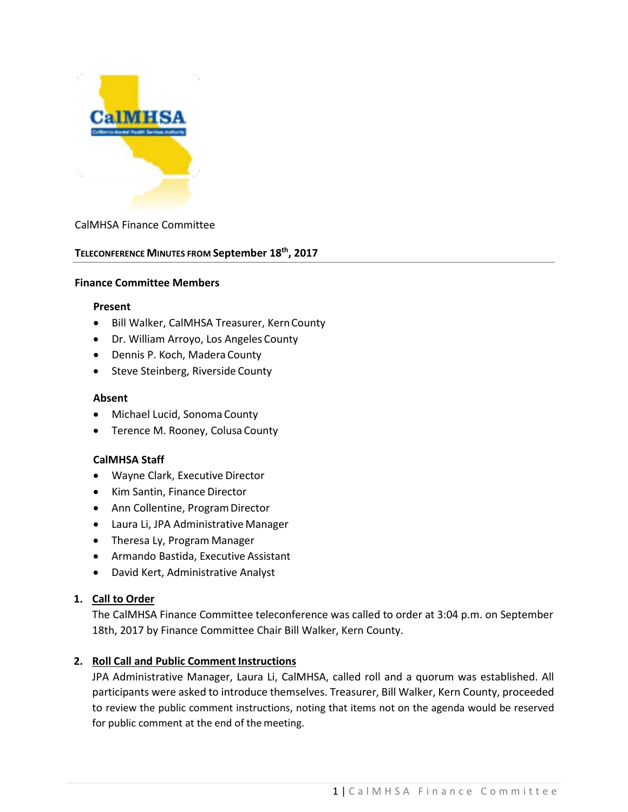

## CalMHSA Finance Committee

# **TELECONFERENCE MINUTES FROM September 18th, 2017**

#### **Finance Committee Members**

#### **Present**

- Bill Walker, CalMHSA Treasurer, Kern County
- Dr. William Arroyo, Los Angeles County
- Dennis P. Koch, Madera County
- Steve Steinberg, Riverside County

#### **Absent**

- Michael Lucid, Sonoma County
- Terence M. Rooney, Colusa County

#### **CalMHSA Staff**

- Wayne Clark, Executive Director
- Kim Santin, Finance Director
- Ann Collentine, Program Director
- Laura Li, JPA Administrative Manager
- Theresa Ly, Program Manager
- Armando Bastida, Executive Assistant
- David Kert, Administrative Analyst

#### **1. Call to Order**

The CalMHSA Finance Committee teleconference was called to order at 3:04 p.m. on September 18th, 2017 by Finance Committee Chair Bill Walker, Kern County.

#### **2. Roll Call and Public Comment Instructions**

JPA Administrative Manager, Laura Li, CalMHSA, called roll and a quorum was established. All participants were asked to introduce themselves. Treasurer, Bill Walker, Kern County, proceeded to review the public comment instructions, noting that items not on the agenda would be reserved for public comment at the end of the meeting.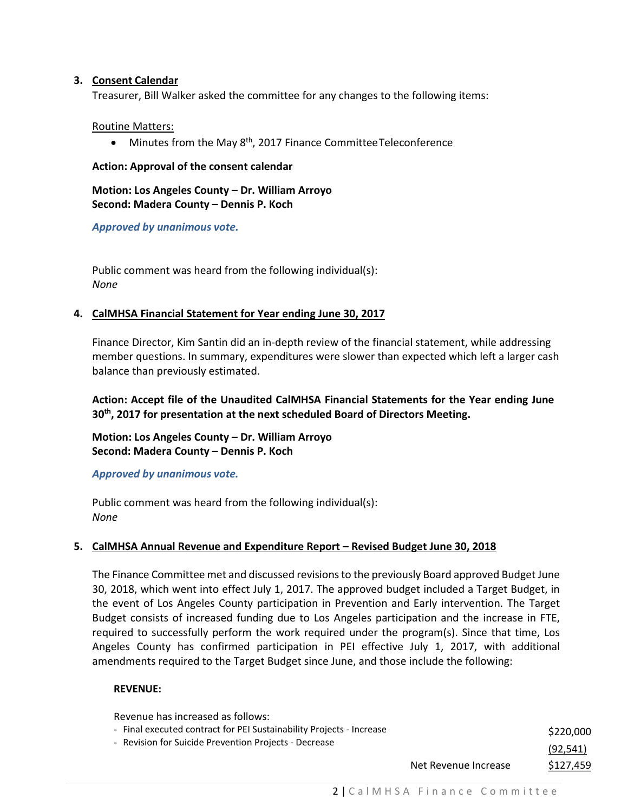### **3. Consent Calendar**

Treasurer, Bill Walker asked the committee for any changes to the following items:

Routine Matters:

• Minutes from the May 8<sup>th</sup>, 2017 Finance Committee Teleconference

### **Action: Approval of the consent calendar**

**Motion: Los Angeles County – Dr. William Arroyo Second: Madera County – Dennis P. Koch**

*Approved by unanimous vote.*

Public comment was heard from the following individual(s): *None*

## **4. CalMHSA Financial Statement for Year ending June 30, 2017**

Finance Director, Kim Santin did an in-depth review of the financial statement, while addressing member questions. In summary, expenditures were slower than expected which left a larger cash balance than previously estimated.

**Action: Accept file of the Unaudited CalMHSA Financial Statements for the Year ending June 30th, 2017 for presentation at the next scheduled Board of Directors Meeting.**

**Motion: Los Angeles County – Dr. William Arroyo Second: Madera County – Dennis P. Koch**

#### *Approved by unanimous vote.*

Public comment was heard from the following individual(s): *None*

# **5. CalMHSA Annual Revenue and Expenditure Report – Revised Budget June 30, 2018**

The Finance Committee met and discussed revisions to the previously Board approved Budget June 30, 2018, which went into effect July 1, 2017. The approved budget included a Target Budget, in the event of Los Angeles County participation in Prevention and Early intervention. The Target Budget consists of increased funding due to Los Angeles participation and the increase in FTE, required to successfully perform the work required under the program(s). Since that time, Los Angeles County has confirmed participation in PEI effective July 1, 2017, with additional amendments required to the Target Budget since June, and those include the following:

#### **REVENUE:**

Revenue has increased as follows:

| - Final executed contract for PEI Sustainability Projects - Increase |                      | \$220,000 |
|----------------------------------------------------------------------|----------------------|-----------|
| - Revision for Suicide Prevention Projects - Decrease                |                      | (92, 541) |
|                                                                      | Net Revenue Increase | \$127,459 |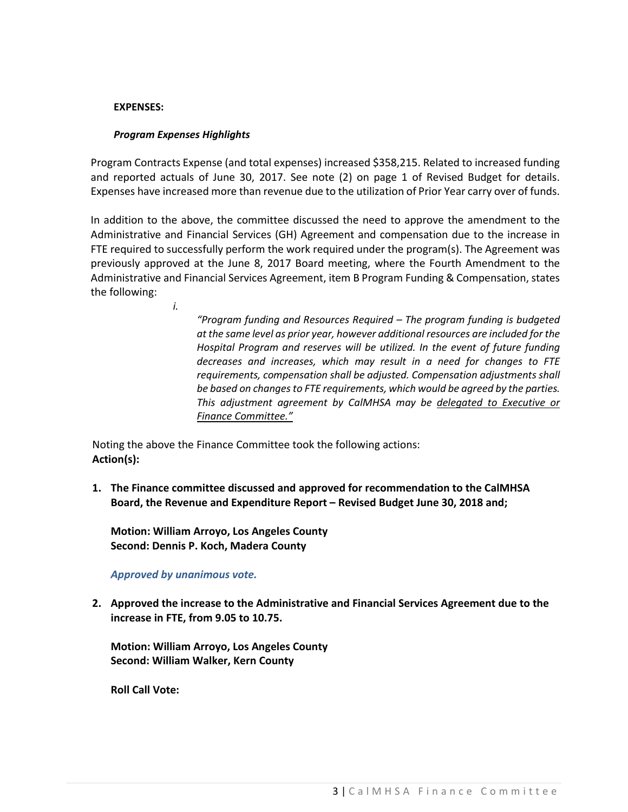#### **EXPENSES:**

#### *Program Expenses Highlights*

Program Contracts Expense (and total expenses) increased \$358,215. Related to increased funding and reported actuals of June 30, 2017. See note (2) on page 1 of Revised Budget for details. Expenses have increased more than revenue due to the utilization of Prior Year carry over of funds.

In addition to the above, the committee discussed the need to approve the amendment to the Administrative and Financial Services (GH) Agreement and compensation due to the increase in FTE required to successfully perform the work required under the program(s). The Agreement was previously approved at the June 8, 2017 Board meeting, where the Fourth Amendment to the Administrative and Financial Services Agreement, item B Program Funding & Compensation, states the following:

*i.*

*"Program funding and Resources Required – The program funding is budgeted at the same level as prior year, however additional resources are included for the Hospital Program and reserves will be utilized. In the event of future funding decreases and increases, which may result in a need for changes to FTE requirements, compensation shall be adjusted. Compensation adjustments shall be based on changes to FTE requirements, which would be agreed by the parties. This adjustment agreement by CalMHSA may be delegated to Executive or Finance Committee."*

Noting the above the Finance Committee took the following actions: **Action(s):**

**1. The Finance committee discussed and approved for recommendation to the CalMHSA Board, the Revenue and Expenditure Report – Revised Budget June 30, 2018 and;**

**Motion: William Arroyo, Los Angeles County Second: Dennis P. Koch, Madera County**

*Approved by unanimous vote.*

**2. Approved the increase to the Administrative and Financial Services Agreement due to the increase in FTE, from 9.05 to 10.75.** 

**Motion: William Arroyo, Los Angeles County Second: William Walker, Kern County**

**Roll Call Vote:**